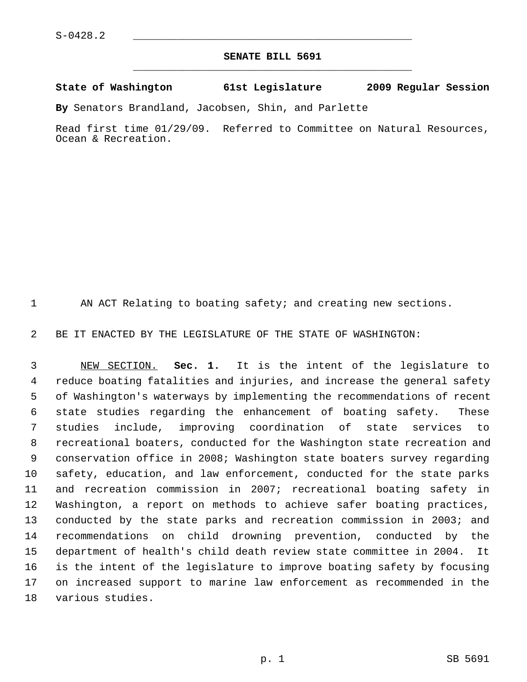## **SENATE BILL 5691** \_\_\_\_\_\_\_\_\_\_\_\_\_\_\_\_\_\_\_\_\_\_\_\_\_\_\_\_\_\_\_\_\_\_\_\_\_\_\_\_\_\_\_\_\_

## **State of Washington 61st Legislature 2009 Regular Session**

**By** Senators Brandland, Jacobsen, Shin, and Parlette

Read first time 01/29/09. Referred to Committee on Natural Resources, Ocean & Recreation.

1 AN ACT Relating to boating safety; and creating new sections.

2 BE IT ENACTED BY THE LEGISLATURE OF THE STATE OF WASHINGTON:

 3 NEW SECTION. **Sec. 1.** It is the intent of the legislature to 4 reduce boating fatalities and injuries, and increase the general safety 5 of Washington's waterways by implementing the recommendations of recent 6 state studies regarding the enhancement of boating safety. These 7 studies include, improving coordination of state services to 8 recreational boaters, conducted for the Washington state recreation and 9 conservation office in 2008; Washington state boaters survey regarding 10 safety, education, and law enforcement, conducted for the state parks 11 and recreation commission in 2007; recreational boating safety in 12 Washington, a report on methods to achieve safer boating practices, 13 conducted by the state parks and recreation commission in 2003; and 14 recommendations on child drowning prevention, conducted by the 15 department of health's child death review state committee in 2004. It 16 is the intent of the legislature to improve boating safety by focusing 17 on increased support to marine law enforcement as recommended in the 18 various studies.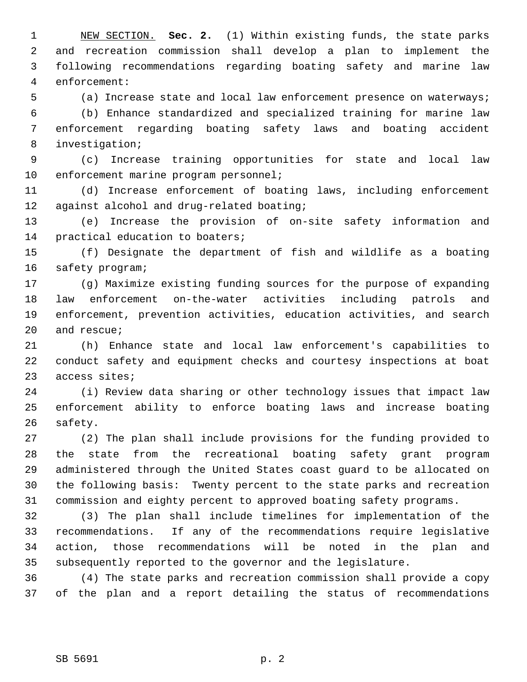1 NEW SECTION. **Sec. 2.** (1) Within existing funds, the state parks 2 and recreation commission shall develop a plan to implement the 3 following recommendations regarding boating safety and marine law 4 enforcement:

5 (a) Increase state and local law enforcement presence on waterways;

 6 (b) Enhance standardized and specialized training for marine law 7 enforcement regarding boating safety laws and boating accident 8 investigation;

 9 (c) Increase training opportunities for state and local law 10 enforcement marine program personnel;

11 (d) Increase enforcement of boating laws, including enforcement 12 against alcohol and drug-related boating;

13 (e) Increase the provision of on-site safety information and 14 practical education to boaters;

15 (f) Designate the department of fish and wildlife as a boating 16 safety program;

17 (g) Maximize existing funding sources for the purpose of expanding 18 law enforcement on-the-water activities including patrols and 19 enforcement, prevention activities, education activities, and search 20 and rescue;

21 (h) Enhance state and local law enforcement's capabilities to 22 conduct safety and equipment checks and courtesy inspections at boat 23 access sites;

24 (i) Review data sharing or other technology issues that impact law 25 enforcement ability to enforce boating laws and increase boating 26 safety.

27 (2) The plan shall include provisions for the funding provided to 28 the state from the recreational boating safety grant program 29 administered through the United States coast guard to be allocated on 30 the following basis: Twenty percent to the state parks and recreation 31 commission and eighty percent to approved boating safety programs.

32 (3) The plan shall include timelines for implementation of the 33 recommendations. If any of the recommendations require legislative 34 action, those recommendations will be noted in the plan and 35 subsequently reported to the governor and the legislature.

36 (4) The state parks and recreation commission shall provide a copy 37 of the plan and a report detailing the status of recommendations